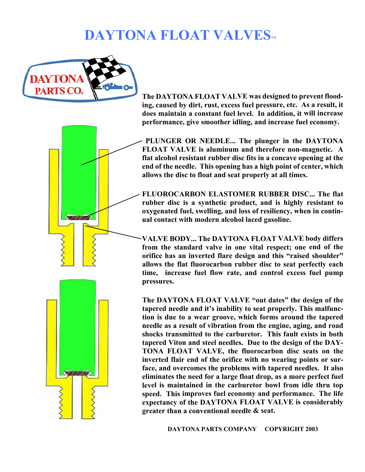## **DAYTONA FLOAT VALVES™**



**The DAYTONA FLOAT VALVE was designed to prevent flooding, caused by dirt, rust, excess fuel pressure, etc. As a result, it does maintain a constant fuel level. In addition, it will increase performance, give smoother idling, and increase fuel economy.**

 **PLUNGER OR NEEDLE... The plunger in the DAYTONA FLOAT VALVE is aluminum and therefore non-magnetic. A flat alcohol resistant rubber disc fits in a concave opening at the end of the needle. This opening has a high point of center, which allows the disc to float and seat properly at all times.**

**FLUOROCARBON ELASTOMER RUBBER DISC... The flat rubber disc is a synthetic product, and is highly resistant to oxygenated fuel, swelling, and loss of resiliency, when in continual contact with modern alcohol laced gasoline.**

**VALVE BODY... The DAYTONA FLOAT VALVE body differs from the standard valve in one vital respect; one end of the orifice has an inverted flare design and this "raised shoulder" allows the flat fluorocarbon rubber disc to seat perfectly each time, increase fuel flow rate, and control excess fuel pump pressures.**

**The DAYTONA FLOAT VALVE "out dates" the design of the tapered needle and it's inability to seat properly. This malfunction is due to a wear groove, which forms around the tapered needle as a result of vibration from the engine, aging, and road shocks transmitted to the carburetor. This fault exists in both tapered Viton and steel needles. Due to the design of the DAY-TONA FLOAT VALVE, the fluorocarbon disc seats on the inverted flair end of the orifice with no wearing points or surface, and overcomes the problems with tapered needles. It also eliminates the need for a large float drop, as a more perfect fuel level is maintained in the carburetor bowl from idle thru top speed. This improves fuel economy and performance. The life expectancy of the DAYTONA FLOAT VALVE is considerably greater than a conventional needle & seat.**

 **DAYTONA PARTS COMPANY COPYRIGHT 2003**



Servinaes